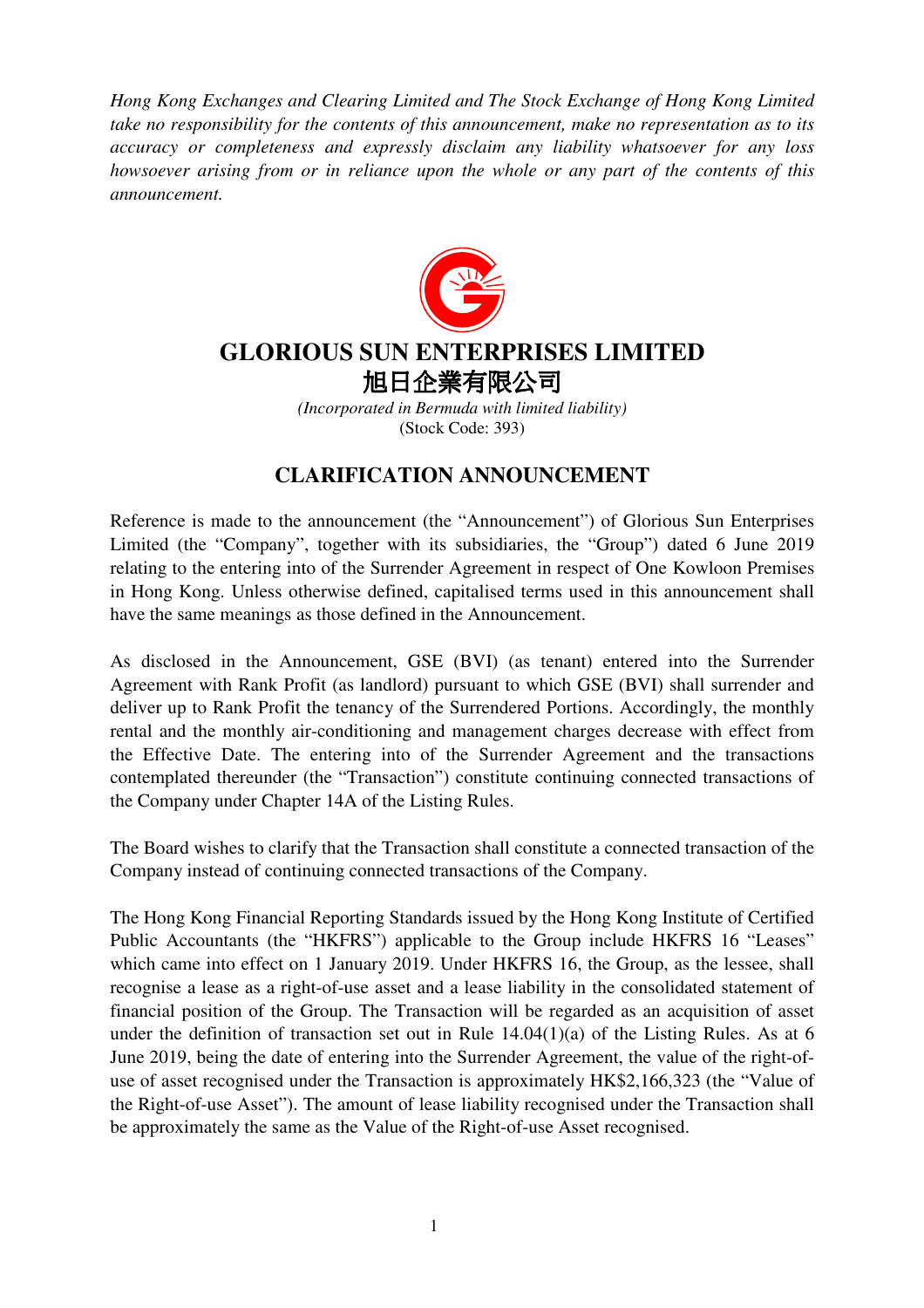*Hong Kong Exchanges and Clearing Limited and The Stock Exchange of Hong Kong Limited take no responsibility for the contents of this announcement, make no representation as to its accuracy or completeness and expressly disclaim any liability whatsoever for any loss howsoever arising from or in reliance upon the whole or any part of the contents of this announcement.* 



## **GLORIOUS SUN ENTERPRISES LIMITED**  旭日企業有限公司

*(Incorporated in Bermuda with limited liability)*  (Stock Code: 393)

## **CLARIFICATION ANNOUNCEMENT**

Reference is made to the announcement (the "Announcement") of Glorious Sun Enterprises Limited (the "Company", together with its subsidiaries, the "Group") dated 6 June 2019 relating to the entering into of the Surrender Agreement in respect of One Kowloon Premises in Hong Kong. Unless otherwise defined, capitalised terms used in this announcement shall have the same meanings as those defined in the Announcement.

As disclosed in the Announcement, GSE (BVI) (as tenant) entered into the Surrender Agreement with Rank Profit (as landlord) pursuant to which GSE (BVI) shall surrender and deliver up to Rank Profit the tenancy of the Surrendered Portions. Accordingly, the monthly rental and the monthly air-conditioning and management charges decrease with effect from the Effective Date. The entering into of the Surrender Agreement and the transactions contemplated thereunder (the "Transaction") constitute continuing connected transactions of the Company under Chapter 14A of the Listing Rules.

The Board wishes to clarify that the Transaction shall constitute a connected transaction of the Company instead of continuing connected transactions of the Company.

The Hong Kong Financial Reporting Standards issued by the Hong Kong Institute of Certified Public Accountants (the "HKFRS") applicable to the Group include HKFRS 16 "Leases" which came into effect on 1 January 2019. Under HKFRS 16, the Group, as the lessee, shall recognise a lease as a right-of-use asset and a lease liability in the consolidated statement of financial position of the Group. The Transaction will be regarded as an acquisition of asset under the definition of transaction set out in Rule 14.04(1)(a) of the Listing Rules. As at 6 June 2019, being the date of entering into the Surrender Agreement, the value of the right-ofuse of asset recognised under the Transaction is approximately HK\$2,166,323 (the "Value of the Right-of-use Asset"). The amount of lease liability recognised under the Transaction shall be approximately the same as the Value of the Right-of-use Asset recognised.